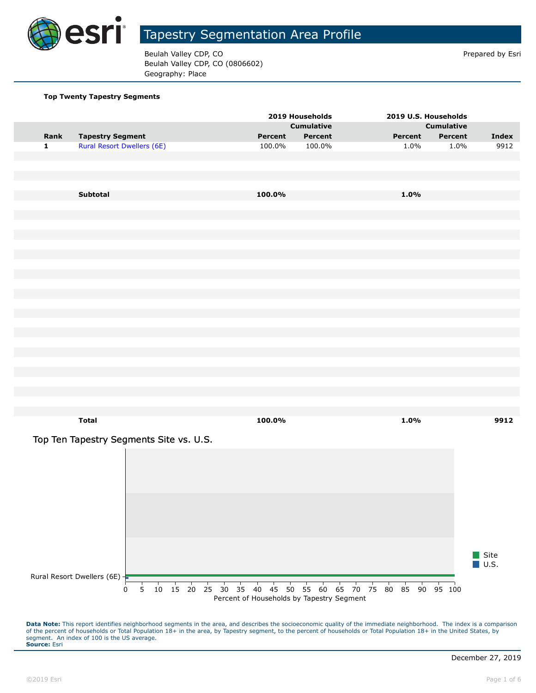

Beulah Valley CDP, CO **Prepared by Estimate 2** Prepared by Esri Beulah Valley CDP, CO (0806602) Geography: Place

#### **Top Twenty Tapestry Segments**

|              |                                         |   |  |  |                                                             | 2019 Households   |         |  |         | 2019 U.S. Households |         |                     |
|--------------|-----------------------------------------|---|--|--|-------------------------------------------------------------|-------------------|---------|--|---------|----------------------|---------|---------------------|
|              |                                         |   |  |  |                                                             | <b>Cumulative</b> |         |  |         | <b>Cumulative</b>    |         |                     |
| Rank         | <b>Tapestry Segment</b>                 |   |  |  | Percent                                                     |                   | Percent |  | Percent |                      | Percent | <b>Index</b>        |
| $\mathbf{1}$ | <b>Rural Resort Dwellers (6E)</b>       |   |  |  | 100.0%                                                      |                   | 100.0%  |  | 1.0%    |                      | 1.0%    | 9912                |
|              |                                         |   |  |  |                                                             |                   |         |  |         |                      |         |                     |
|              |                                         |   |  |  |                                                             |                   |         |  |         |                      |         |                     |
|              |                                         |   |  |  |                                                             |                   |         |  |         |                      |         |                     |
|              |                                         |   |  |  |                                                             |                   |         |  |         |                      |         |                     |
|              | Subtotal                                |   |  |  | 100.0%                                                      |                   |         |  | 1.0%    |                      |         |                     |
|              |                                         |   |  |  |                                                             |                   |         |  |         |                      |         |                     |
|              |                                         |   |  |  |                                                             |                   |         |  |         |                      |         |                     |
|              |                                         |   |  |  |                                                             |                   |         |  |         |                      |         |                     |
|              |                                         |   |  |  |                                                             |                   |         |  |         |                      |         |                     |
|              |                                         |   |  |  |                                                             |                   |         |  |         |                      |         |                     |
|              |                                         |   |  |  |                                                             |                   |         |  |         |                      |         |                     |
|              |                                         |   |  |  |                                                             |                   |         |  |         |                      |         |                     |
|              |                                         |   |  |  |                                                             |                   |         |  |         |                      |         |                     |
|              |                                         |   |  |  |                                                             |                   |         |  |         |                      |         |                     |
|              |                                         |   |  |  |                                                             |                   |         |  |         |                      |         |                     |
|              |                                         |   |  |  |                                                             |                   |         |  |         |                      |         |                     |
|              |                                         |   |  |  |                                                             |                   |         |  |         |                      |         |                     |
|              |                                         |   |  |  |                                                             |                   |         |  |         |                      |         |                     |
|              |                                         |   |  |  |                                                             |                   |         |  |         |                      |         |                     |
|              |                                         |   |  |  |                                                             |                   |         |  |         |                      |         |                     |
|              |                                         |   |  |  |                                                             |                   |         |  |         |                      |         |                     |
|              |                                         |   |  |  |                                                             |                   |         |  |         |                      |         |                     |
|              |                                         |   |  |  |                                                             |                   |         |  |         |                      |         |                     |
|              |                                         |   |  |  |                                                             |                   |         |  |         |                      |         |                     |
|              |                                         |   |  |  |                                                             |                   |         |  |         |                      |         |                     |
|              | <b>Total</b>                            |   |  |  | 100.0%                                                      |                   |         |  | 1.0%    |                      |         | 9912                |
|              |                                         |   |  |  |                                                             |                   |         |  |         |                      |         |                     |
|              | Top Ten Tapestry Segments Site vs. U.S. |   |  |  |                                                             |                   |         |  |         |                      |         |                     |
|              |                                         |   |  |  |                                                             |                   |         |  |         |                      |         |                     |
|              |                                         |   |  |  |                                                             |                   |         |  |         |                      |         |                     |
|              |                                         |   |  |  |                                                             |                   |         |  |         |                      |         |                     |
|              |                                         |   |  |  |                                                             |                   |         |  |         |                      |         |                     |
|              |                                         |   |  |  |                                                             |                   |         |  |         |                      |         |                     |
|              |                                         |   |  |  |                                                             |                   |         |  |         |                      |         |                     |
|              |                                         |   |  |  |                                                             |                   |         |  |         |                      |         |                     |
|              |                                         |   |  |  |                                                             |                   |         |  |         |                      |         |                     |
|              |                                         |   |  |  |                                                             |                   |         |  |         |                      |         |                     |
|              |                                         |   |  |  |                                                             |                   |         |  |         |                      |         |                     |
|              |                                         |   |  |  |                                                             |                   |         |  |         |                      |         | Site                |
|              |                                         |   |  |  |                                                             |                   |         |  |         |                      |         | $\blacksquare$ U.S. |
|              | Rural Resort Dwellers (6E)              |   |  |  |                                                             |                   |         |  |         |                      |         |                     |
|              |                                         | 0 |  |  | 5 10 15 20 25 30 35 40 45 50 55 60 65 70 75 80 85 90 95 100 |                   |         |  |         |                      |         |                     |
|              |                                         |   |  |  | Percent of Households by Tapestry Segment                   |                   |         |  |         |                      |         |                     |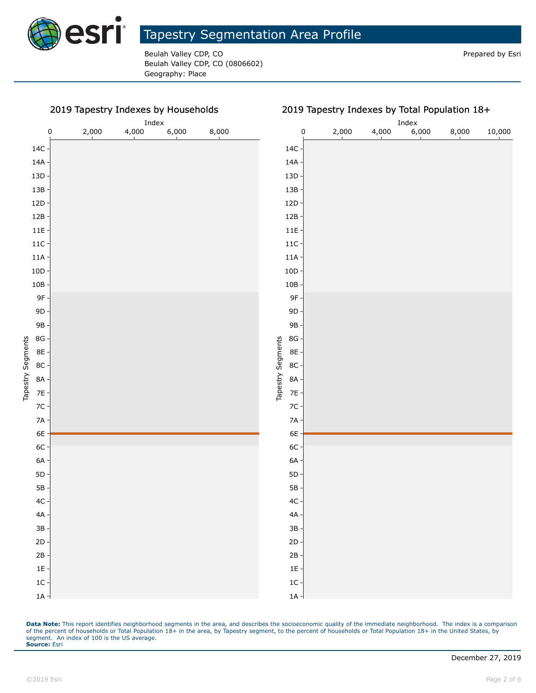

Beulah Valley CDP, CO **Prepared by Estimate Struck CDP, CO** Prepared by Esri Beulah Valley CDP, CO (0806602) Geography: Place

#### 2019 Tapestry Indexes by Households

0 2,000 4,000 6,000 8,000

Index

|                             |       |       | Index |       |        |  |  |  |
|-----------------------------|-------|-------|-------|-------|--------|--|--|--|
| $\mathbf 0$                 | 2,000 | 4,000 | 6,000 | 8,000 | 10,000 |  |  |  |
| $14C \cdot$                 |       |       |       |       |        |  |  |  |
| $14A \cdot$                 |       |       |       |       |        |  |  |  |
| $13D -$                     |       |       |       |       |        |  |  |  |
| $13B -$                     |       |       |       |       |        |  |  |  |
| $12D -$                     |       |       |       |       |        |  |  |  |
| $12B -$                     |       |       |       |       |        |  |  |  |
| $11E -$                     |       |       |       |       |        |  |  |  |
| $11C -$                     |       |       |       |       |        |  |  |  |
| $11A -$                     |       |       |       |       |        |  |  |  |
| $10D -$                     |       |       |       |       |        |  |  |  |
| $10B -$                     |       |       |       |       |        |  |  |  |
| 9F-                         |       |       |       |       |        |  |  |  |
| $9D -$                      |       |       |       |       |        |  |  |  |
| 9B -                        |       |       |       |       |        |  |  |  |
| $8G -$                      |       |       |       |       |        |  |  |  |
| 8E -                        |       |       |       |       |        |  |  |  |
| Tapestry Segments<br>$8C -$ |       |       |       |       |        |  |  |  |
| 8A -                        |       |       |       |       |        |  |  |  |
| $7E -$                      |       |       |       |       |        |  |  |  |
| $7C -$                      |       |       |       |       |        |  |  |  |
| $7A -$                      |       |       |       |       |        |  |  |  |
| 6E                          |       |       |       |       |        |  |  |  |
| $6C -$                      |       |       |       |       |        |  |  |  |
| $6A -$                      |       |       |       |       |        |  |  |  |
| $5D -$                      |       |       |       |       |        |  |  |  |
| $5B -$                      |       |       |       |       |        |  |  |  |
| $4C -$                      |       |       |       |       |        |  |  |  |
| $4A -$                      |       |       |       |       |        |  |  |  |
| $3B -$                      |       |       |       |       |        |  |  |  |
| $2D -$                      |       |       |       |       |        |  |  |  |
| $2B -$                      |       |       |       |       |        |  |  |  |
| $1E -$                      |       |       |       |       |        |  |  |  |
| $1C -$                      |       |       |       |       |        |  |  |  |
| $1A -$                      |       |       |       |       |        |  |  |  |

Data Note: This report identifies neighborhood segments in the area, and describes the socioeconomic quality of the immediate neighborhood. The index is a comparison of the percent of households or Total Population 18+ in the area, by Tapestry segment, to the percent of households or Total Population 18+ in the United States, by segment. An index of 100 is the US average. **Source:** Esri

1A 1C 1E 2B 2D 3B 4A 4C 5B 5D 6A 6C 6E 7A 7C 7E 8A 8C 8E 8G 9B 9D 9F 10B 10D 11A 11C 11E 12B 12D 13B 13D 14A 14C

Tapestry Segments

Tapestry Segments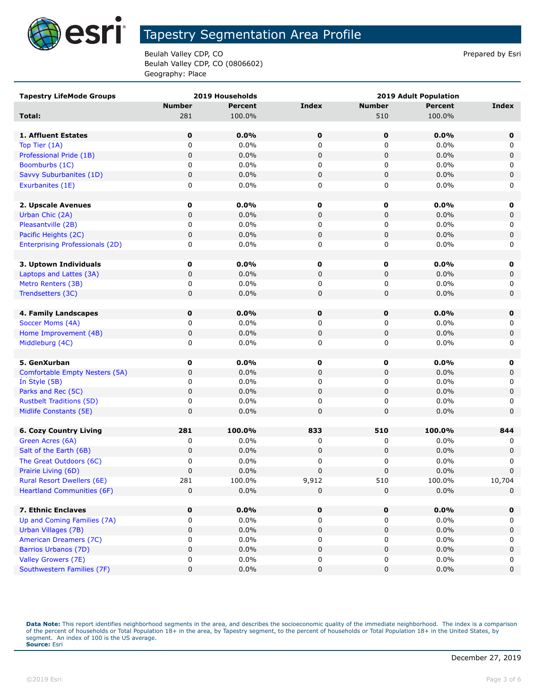

Beulah Valley CDP, CO **Prepared by Estimate 2** Prepared by Esri Beulah Valley CDP, CO (0806602) Geography: Place

| <b>Tapestry LifeMode Groups</b>        |               | 2019 Households | <b>2019 Adult Population</b> |               |                |              |  |
|----------------------------------------|---------------|-----------------|------------------------------|---------------|----------------|--------------|--|
|                                        | <b>Number</b> | <b>Percent</b>  | <b>Index</b>                 | <b>Number</b> | <b>Percent</b> | <b>Index</b> |  |
| Total:                                 | 281           | 100.0%          |                              | 510           | 100.0%         |              |  |
|                                        |               |                 |                              |               |                |              |  |
| 1. Affluent Estates                    | $\mathbf 0$   | 0.0%            | 0                            | 0             | 0.0%           | $\mathbf 0$  |  |
| Top Tier (1A)                          | 0             | 0.0%            | 0                            | 0             | 0.0%           | 0            |  |
| Professional Pride (1B)                | $\pmb{0}$     | 0.0%            | 0                            | $\pmb{0}$     | 0.0%           | 0            |  |
| Boomburbs (1C)                         | 0             | 0.0%            | 0                            | 0             | 0.0%           | 0            |  |
| Savvy Suburbanites (1D)                | 0             | 0.0%            | 0                            | 0             | 0.0%           | $\pmb{0}$    |  |
| Exurbanites (1E)                       | 0             | 0.0%            | 0                            | 0             | 0.0%           | 0            |  |
|                                        |               |                 |                              |               |                |              |  |
| 2. Upscale Avenues                     | 0             | 0.0%            | 0                            | 0             | 0.0%           | 0            |  |
| Urban Chic (2A)                        | 0             | 0.0%            | 0                            | 0             | 0.0%           | 0            |  |
| Pleasantville (2B)                     | 0             | 0.0%            | 0                            | 0             | 0.0%           | 0            |  |
| Pacific Heights (2C)                   | 0             | 0.0%            | 0                            | 0             | 0.0%           | $\pmb{0}$    |  |
| <b>Enterprising Professionals (2D)</b> | 0             | 0.0%            | 0                            | 0             | 0.0%           | 0            |  |
|                                        |               |                 |                              |               |                |              |  |
| 3. Uptown Individuals                  | 0             | 0.0%            | 0                            | 0             | 0.0%           | 0            |  |
| Laptops and Lattes (3A)                | $\mathbf 0$   | 0.0%            | 0                            | $\pmb{0}$     | 0.0%           | $\mathbf 0$  |  |
| Metro Renters (3B)                     | 0             | 0.0%            | 0                            | 0             | 0.0%           | 0            |  |
| Trendsetters (3C)                      | 0             | $0.0\%$         | 0                            | 0             | 0.0%           | 0            |  |
| 4. Family Landscapes                   | 0             | 0.0%            | 0                            | 0             | 0.0%           | $\mathbf 0$  |  |
| Soccer Moms (4A)                       | 0             | 0.0%            | 0                            | 0             | 0.0%           | 0            |  |
| Home Improvement (4B)                  | 0             | 0.0%            | 0                            | 0             | 0.0%           | 0            |  |
| Middleburg (4C)                        | 0             | 0.0%            | 0                            | 0             | 0.0%           | 0            |  |
|                                        |               |                 |                              |               |                |              |  |
| 5. GenXurban                           | 0             | 0.0%            | 0                            | 0             | 0.0%           | 0            |  |
| Comfortable Empty Nesters (5A)         | 0             | 0.0%            | 0                            | 0             | 0.0%           | 0            |  |
| In Style (5B)                          | 0             | $0.0\%$         | 0                            | 0             | $0.0\%$        | 0            |  |
| Parks and Rec (5C)                     | $\pmb{0}$     | 0.0%            | 0                            | $\pmb{0}$     | 0.0%           | $\pmb{0}$    |  |
| <b>Rustbelt Traditions (5D)</b>        | 0             | 0.0%            | 0                            | 0             | 0.0%           | 0            |  |
| Midlife Constants (5E)                 | 0             | 0.0%            | 0                            | 0             | 0.0%           | $\mathbf 0$  |  |
|                                        |               |                 |                              |               |                |              |  |
| <b>6. Cozy Country Living</b>          | 281           | 100.0%          | 833                          | 510           | 100.0%         | 844          |  |
| Green Acres (6A)                       | 0             | 0.0%            | 0                            | 0             | 0.0%           | 0            |  |
| Salt of the Earth (6B)                 | 0             | 0.0%            | 0                            | 0             | 0.0%           | 0            |  |
| The Great Outdoors (6C)                | 0             | 0.0%            | 0                            | 0             | 0.0%           | 0            |  |
| Prairie Living (6D)                    | 0             | 0.0%            | 0                            | 0             | 0.0%           | $\pmb{0}$    |  |
| <b>Rural Resort Dwellers (6E)</b>      | 281           | 100.0%          | 9,912                        | 510           | 100.0%         | 10,704       |  |
| <b>Heartland Communities (6F)</b>      | 0             | 0.0%            | 0                            | $\pmb{0}$     | 0.0%           | $\mathbf 0$  |  |
|                                        |               |                 |                              |               |                |              |  |
| 7. Ethnic Enclaves                     | $\mathbf 0$   | 0.0%            | 0                            | 0             | 0.0%           | $\mathbf 0$  |  |
| Up and Coming Families (7A)            | 0             | 0.0%            | 0                            | 0             | $0.0\%$        | 0            |  |
| Urban Villages (7B)                    | 0             | 0.0%            | 0                            | 0             | 0.0%           | 0            |  |
| American Dreamers (7C)                 | 0             | 0.0%            | 0                            | 0             | 0.0%           | 0            |  |
| <b>Barrios Urbanos (7D)</b>            | 0             | 0.0%            | 0                            | 0             | 0.0%           | 0            |  |
| Valley Growers (7E)                    | 0             | 0.0%            | 0                            | 0             | 0.0%           | 0            |  |
| Southwestern Families (7F)             | 0             | 0.0%            | 0                            | 0             | 0.0%           | 0            |  |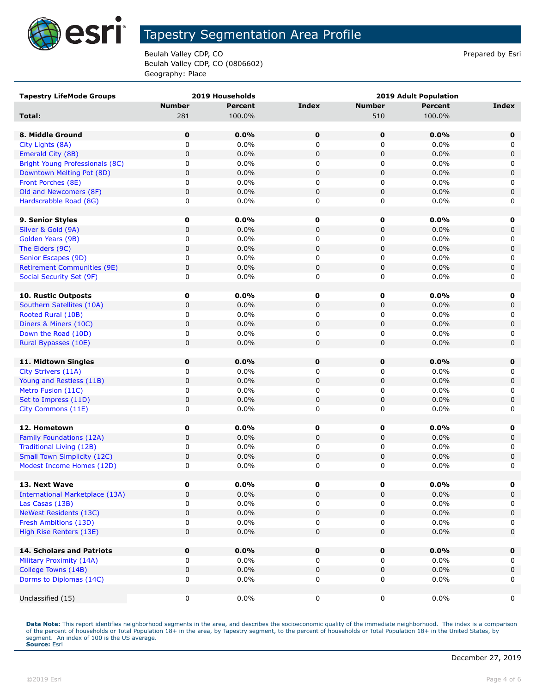

Beulah Valley CDP, CO **Prepared by Estimate 2** Prepared by Esri Beulah Valley CDP, CO (0806602) Geography: Place

| <b>Tapestry LifeMode Groups</b>        |               | 2019 Households |              |               | <b>2019 Adult Population</b> |              |
|----------------------------------------|---------------|-----------------|--------------|---------------|------------------------------|--------------|
|                                        | <b>Number</b> | <b>Percent</b>  | <b>Index</b> | <b>Number</b> | <b>Percent</b>               | <b>Index</b> |
| Total:                                 | 281           | 100.0%          |              | 510           | 100.0%                       |              |
|                                        |               |                 |              |               |                              |              |
| 8. Middle Ground                       | 0             | 0.0%            | 0            | 0             | 0.0%                         | 0            |
| City Lights (8A)                       | 0             | 0.0%            | 0            | 0             | 0.0%                         | 0            |
| Emerald City (8B)                      | 0             | 0.0%            | $\mathbf 0$  | $\pmb{0}$     | 0.0%                         | 0            |
| Bright Young Professionals (8C)        | 0             | $0.0\%$         | 0            | 0             | $0.0\%$                      | 0            |
| Downtown Melting Pot (8D)              | 0             | 0.0%            | 0            | $\pmb{0}$     | 0.0%                         | $\mathbf 0$  |
| Front Porches (8E)                     | 0             | $0.0\%$         | 0            | 0             | $0.0\%$                      | 0            |
| Old and Newcomers (8F)                 | 0             | 0.0%            | $\pmb{0}$    | $\pmb{0}$     | 0.0%                         | $\mathsf 0$  |
| Hardscrabble Road (8G)                 | 0             | 0.0%            | 0            | 0             | 0.0%                         | 0            |
|                                        |               |                 |              |               |                              |              |
| 9. Senior Styles                       | 0             | $0.0\%$         | 0            | 0             | $0.0\%$                      | 0            |
| Silver & Gold (9A)                     | 0             | 0.0%            | 0            | 0             | 0.0%                         | 0            |
| Golden Years (9B)                      | 0             | 0.0%            | 0            | 0             | 0.0%                         | 0            |
| The Elders (9C)                        | 0             | 0.0%            | $\mathbf 0$  | $\pmb{0}$     | 0.0%                         | $\mathsf 0$  |
| Senior Escapes (9D)                    | 0             | $0.0\%$         | 0            | 0             | $0.0\%$                      | 0            |
| <b>Retirement Communities (9E)</b>     | 0             | 0.0%            | $\mathbf 0$  | $\pmb{0}$     | 0.0%                         | $\mathbf 0$  |
| Social Security Set (9F)               | 0             | $0.0\%$         | 0            | 0             | $0.0\%$                      | 0            |
|                                        |               |                 |              |               |                              |              |
| 10. Rustic Outposts                    | 0             | 0.0%            | 0            | 0             | $0.0\%$                      | 0            |
| Southern Satellites (10A)              | 0             | 0.0%            | $\mathbf 0$  | $\pmb{0}$     | 0.0%                         | 0            |
| Rooted Rural (10B)                     | 0             | $0.0\%$         | 0            | 0             | $0.0\%$                      | 0            |
| Diners & Miners (10C)                  | 0             | 0.0%            | 0            | 0             | 0.0%                         | 0            |
| Down the Road (10D)                    | 0             | 0.0%            | 0            | 0             | 0.0%                         | 0            |
| Rural Bypasses (10E)                   | 0             | 0.0%            | 0            | $\pmb{0}$     | 0.0%                         | $\mathbf 0$  |
|                                        |               |                 |              |               |                              |              |
| 11. Midtown Singles                    | 0             | 0.0%            | 0            | 0             | 0.0%                         | 0            |
| City Strivers (11A)                    | 0             | $0.0\%$         | 0            | 0             | 0.0%                         | 0            |
| Young and Restless (11B)               | 0             | 0.0%            | $\mathbf 0$  | $\pmb{0}$     | 0.0%                         | $\mathsf 0$  |
| Metro Fusion (11C)                     | 0             | 0.0%            | 0            | 0             | 0.0%                         | 0            |
| Set to Impress (11D)                   | 0             | 0.0%            | $\mathbf 0$  | $\pmb{0}$     | 0.0%                         | $\mathbf 0$  |
| City Commons (11E)                     | 0             | $0.0\%$         | 0            | 0             | $0.0\%$                      | 0            |
|                                        |               |                 |              |               |                              |              |
| 12. Hometown                           | 0             | $0.0\%$         | 0            | 0             | $0.0\%$                      | 0            |
| Family Foundations (12A)               | 0             | 0.0%            | $\mathbf 0$  | $\pmb{0}$     | 0.0%                         | 0            |
| Traditional Living (12B)               | 0             | $0.0\%$         | 0            | 0             | $0.0\%$                      | 0            |
| <b>Small Town Simplicity (12C)</b>     | 0             | 0.0%            | 0            | $\pmb{0}$     | 0.0%                         | 0            |
| Modest Income Homes (12D)              | 0             | 0.0%            | 0            | 0             | 0.0%                         | 0            |
|                                        |               |                 |              |               |                              |              |
| 13. Next Wave                          | 0             | $0.0\%$         | 0            | 0             | $0.0\%$                      | 0            |
| <b>International Marketplace (13A)</b> | 0             | 0.0%            | $\mathbf 0$  | $\pmb{0}$     | 0.0%                         | $\mathsf 0$  |
| Las Casas (13B)                        | 0             | 0.0%            | 0            | 0             | $0.0\%$                      | 0            |
| <b>NeWest Residents (13C)</b>          | 0             | 0.0%            | 0            | 0             | 0.0%                         | $\mathbf 0$  |
| Fresh Ambitions (13D)                  | 0             | $0.0\%$         | 0            | 0             | $0.0\%$                      | 0            |
| High Rise Renters (13E)                | 0             | 0.0%            | 0            | $\pmb{0}$     | 0.0%                         | $\mathbf 0$  |
|                                        |               |                 |              |               |                              |              |
| <b>14. Scholars and Patriots</b>       | 0             | 0.0%            | 0            | 0             | 0.0%                         | 0            |
| Military Proximity (14A)               | 0             | $0.0\%$         | $\mathbf 0$  | 0             | $0.0\%$                      | 0            |
| College Towns (14B)                    | 0             | 0.0%            | $\pmb{0}$    | 0             | 0.0%                         | $\mathbf 0$  |
| Dorms to Diplomas (14C)                | 0             | $0.0\%$         | 0            | 0             | $0.0\%$                      | 0            |
|                                        |               |                 |              |               |                              |              |
| Unclassified (15)                      | 0             | $0.0\%$         | 0            | 0             | $0.0\%$                      | 0            |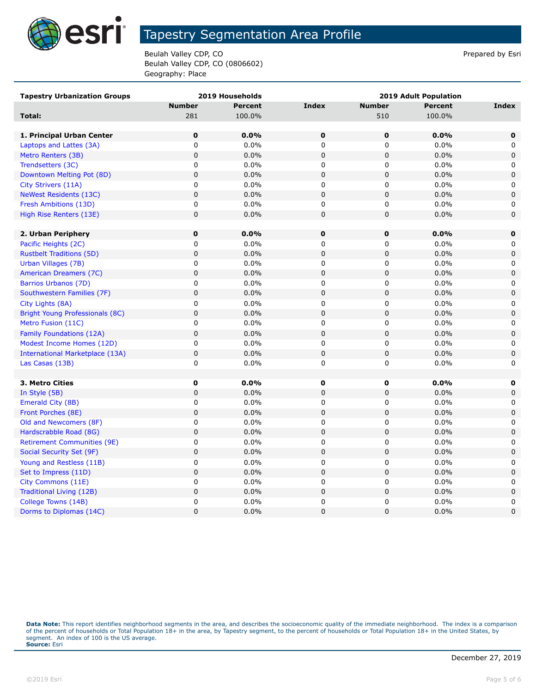

Beulah Valley CDP, CO **Prepared by Estimate 2** Prepared by Esri Beulah Valley CDP, CO (0806602) Geography: Place

| <b>Tapestry Urbanization Groups</b>    |               | 2019 Households |                | <b>2019 Adult Population</b> |                |              |  |  |
|----------------------------------------|---------------|-----------------|----------------|------------------------------|----------------|--------------|--|--|
|                                        | <b>Number</b> | <b>Percent</b>  | <b>Index</b>   | <b>Number</b>                | <b>Percent</b> | Index        |  |  |
| Total:                                 | 281           | 100.0%          |                | 510                          | 100.0%         |              |  |  |
|                                        |               |                 |                |                              |                |              |  |  |
| 1. Principal Urban Center              | $\pmb{0}$     | 0.0%            | $\mathbf 0$    | $\pmb{0}$                    | 0.0%           | $\mathbf 0$  |  |  |
| Laptops and Lattes (3A)                | 0             | 0.0%            | $\mathbf 0$    | $\mathbf 0$                  | 0.0%           | 0            |  |  |
| Metro Renters (3B)                     | $\mathsf 0$   | 0.0%            | $\mathbf 0$    | 0                            | 0.0%           | $\pmb{0}$    |  |  |
| Trendsetters (3C)                      | 0             | 0.0%            | 0              | $\mathbf 0$                  | 0.0%           | 0            |  |  |
| Downtown Melting Pot (8D)              | $\mathsf 0$   | 0.0%            | $\overline{0}$ | $\mathbf 0$                  | 0.0%           | $\mathbf 0$  |  |  |
| City Strivers (11A)                    | 0             | 0.0%            | $\mathbf 0$    | 0                            | 0.0%           | 0            |  |  |
| <b>NeWest Residents (13C)</b>          | $\mathsf 0$   | 0.0%            | $\mathbf 0$    | $\mathbf 0$                  | 0.0%           | 0            |  |  |
| Fresh Ambitions (13D)                  | 0             | 0.0%            | $\mathbf 0$    | 0                            | 0.0%           | 0            |  |  |
| High Rise Renters (13E)                | $\mathsf 0$   | 0.0%            | $\mathbf 0$    | 0                            | 0.0%           | 0            |  |  |
|                                        |               |                 |                |                              |                |              |  |  |
| 2. Urban Periphery                     | $\mathbf 0$   | 0.0%            | $\mathbf 0$    | 0                            | 0.0%           | $\mathbf 0$  |  |  |
| Pacific Heights (2C)                   | 0             | 0.0%            | $\mathbf 0$    | 0                            | 0.0%           | 0            |  |  |
| <b>Rustbelt Traditions (5D)</b>        | 0             | 0.0%            | $\mathbf 0$    | 0                            | 0.0%           | $\mathbf 0$  |  |  |
| Urban Villages (7B)                    | 0             | 0.0%            | 0              | 0                            | 0.0%           | 0            |  |  |
| American Dreamers (7C)                 | 0             | 0.0%            | $\mathbf 0$    | 0                            | 0.0%           | $\mathbf 0$  |  |  |
| Barrios Urbanos (7D)                   | 0             | 0.0%            | 0              | 0                            | 0.0%           | 0            |  |  |
| Southwestern Families (7F)             | 0             | 0.0%            | $\mathbf 0$    | 0                            | 0.0%           | 0            |  |  |
| City Lights (8A)                       | 0             | 0.0%            | $\mathbf 0$    | 0                            | 0.0%           | $\mathbf 0$  |  |  |
| <b>Bright Young Professionals (8C)</b> | $\pmb{0}$     | 0.0%            | $\mathbf 0$    | $\pmb{0}$                    | 0.0%           | 0            |  |  |
| Metro Fusion (11C)                     | 0             | 0.0%            | $\mathbf 0$    | 0                            | 0.0%           | 0            |  |  |
| Family Foundations (12A)               | $\pmb{0}$     | 0.0%            | $\pmb{0}$      | 0                            | 0.0%           | $\mathbf 0$  |  |  |
| Modest Income Homes (12D)              | 0             | 0.0%            | 0              | 0                            | 0.0%           | 0            |  |  |
| <b>International Marketplace (13A)</b> | $\pmb{0}$     | 0.0%            | $\mathbf 0$    | $\pmb{0}$                    | 0.0%           | $\mathbf 0$  |  |  |
| Las Casas (13B)                        | 0             | 0.0%            | $\mathbf 0$    | 0                            | 0.0%           | 0            |  |  |
|                                        |               |                 |                |                              |                |              |  |  |
| 3. Metro Cities                        | $\mathbf 0$   | $0.0\%$         | O              | 0                            | 0.0%           | 0            |  |  |
| In Style (5B)                          | $\mathsf 0$   | 0.0%            | $\mathbf 0$    | $\mathbf 0$                  | 0.0%           | $\mathbf 0$  |  |  |
| Emerald City (8B)                      | 0             | 0.0%            | 0              | 0                            | 0.0%           | 0            |  |  |
| Front Porches (8E)                     | $\mathsf 0$   | 0.0%            | $\mathbf 0$    | 0                            | 0.0%           | 0            |  |  |
| Old and Newcomers (8F)                 | 0             | 0.0%            | 0              | 0                            | 0.0%           | 0            |  |  |
| Hardscrabble Road (8G)                 | 0             | 0.0%            | $\mathbf 0$    | $\mathbf 0$                  | 0.0%           | $\mathbf 0$  |  |  |
| <b>Retirement Communities (9E)</b>     | 0             | 0.0%            | 0              | 0                            | 0.0%           | 0            |  |  |
| Social Security Set (9F)               | 0             | 0.0%            | $\mathbf 0$    | $\mathsf 0$                  | 0.0%           | 0            |  |  |
| Young and Restless (11B)               | 0             | 0.0%            | $\mathbf 0$    | 0                            | 0.0%           | 0            |  |  |
| Set to Impress (11D)                   | 0             | 0.0%            | $\overline{0}$ | 0                            | 0.0%           | $\mathbf{0}$ |  |  |
| City Commons (11E)                     | 0             | 0.0%            | $\mathbf 0$    | 0                            | 0.0%           | 0            |  |  |
| Traditional Living (12B)               | 0             | 0.0%            | $\mathbf 0$    | $\mathbf 0$                  | 0.0%           | 0            |  |  |
| College Towns (14B)                    | 0             | 0.0%            | $\mathbf 0$    | 0                            | 0.0%           | 0            |  |  |
| Dorms to Diplomas (14C)                | 0             | 0.0%            | $\overline{0}$ | 0                            | 0.0%           | $\mathbf 0$  |  |  |